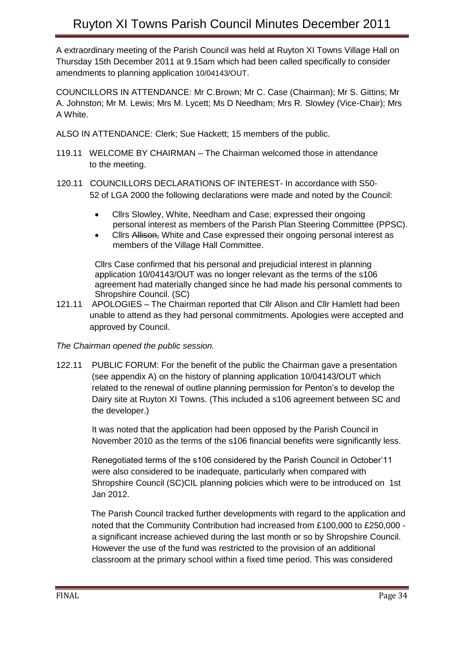A extraordinary meeting of the Parish Council was held at Ruyton XI Towns Village Hall on Thursday 15th December 2011 at 9.15am which had been called specifically to consider amendments to planning application 10/04143/OUT.

COUNCILLORS IN ATTENDANCE: Mr C.Brown; Mr C. Case (Chairman); Mr S. Gittins; Mr A. Johnston; Mr M. Lewis; Mrs M. Lycett; Ms D Needham; Mrs R. Slowley (Vice-Chair); Mrs A White.

ALSO IN ATTENDANCE: Clerk; Sue Hackett; 15 members of the public.

- 119.11 WELCOME BY CHAIRMAN The Chairman welcomed those in attendance to the meeting.
- 120.11 COUNCILLORS DECLARATIONS OF INTEREST- In accordance with S50- 52 of LGA 2000 the following declarations were made and noted by the Council:
	- Cllrs Slowley, White, Needham and Case; expressed their ongoing personal interest as members of the Parish Plan Steering Committee (PPSC).
	- Cllrs Allison, White and Case expressed their ongoing personal interest as members of the Village Hall Committee.

Cllrs Case confirmed that his personal and prejudicial interest in planning application 10/04143/OUT was no longer relevant as the terms of the s106 agreement had materially changed since he had made his personal comments to Shropshire Council. (SC)

121.11 APOLOGIES – The Chairman reported that Cllr Alison and Cllr Hamlett had been unable to attend as they had personal commitments. Apologies were accepted and approved by Council.

*The Chairman opened the public session.*

122.11 PUBLIC FORUM: For the benefit of the public the Chairman gave a presentation (see appendix A) on the history of planning application 10/04143/OUT which related to the renewal of outline planning permission for Penton's to develop the Dairy site at Ruyton XI Towns. (This included a s106 agreement between SC and the developer.)

> It was noted that the application had been opposed by the Parish Council in November 2010 as the terms of the s106 financial benefits were significantly less.

> Renegotiated terms of the s106 considered by the Parish Council in October'11 were also considered to be inadequate, particularly when compared with Shropshire Council (SC)CIL planning policies which were to be introduced on 1st Jan 2012.

 The Parish Council tracked further developments with regard to the application and noted that the Community Contribution had increased from £100,000 to £250,000 a significant increase achieved during the last month or so by Shropshire Council. However the use of the fund was restricted to the provision of an additional classroom at the primary school within a fixed time period. This was considered